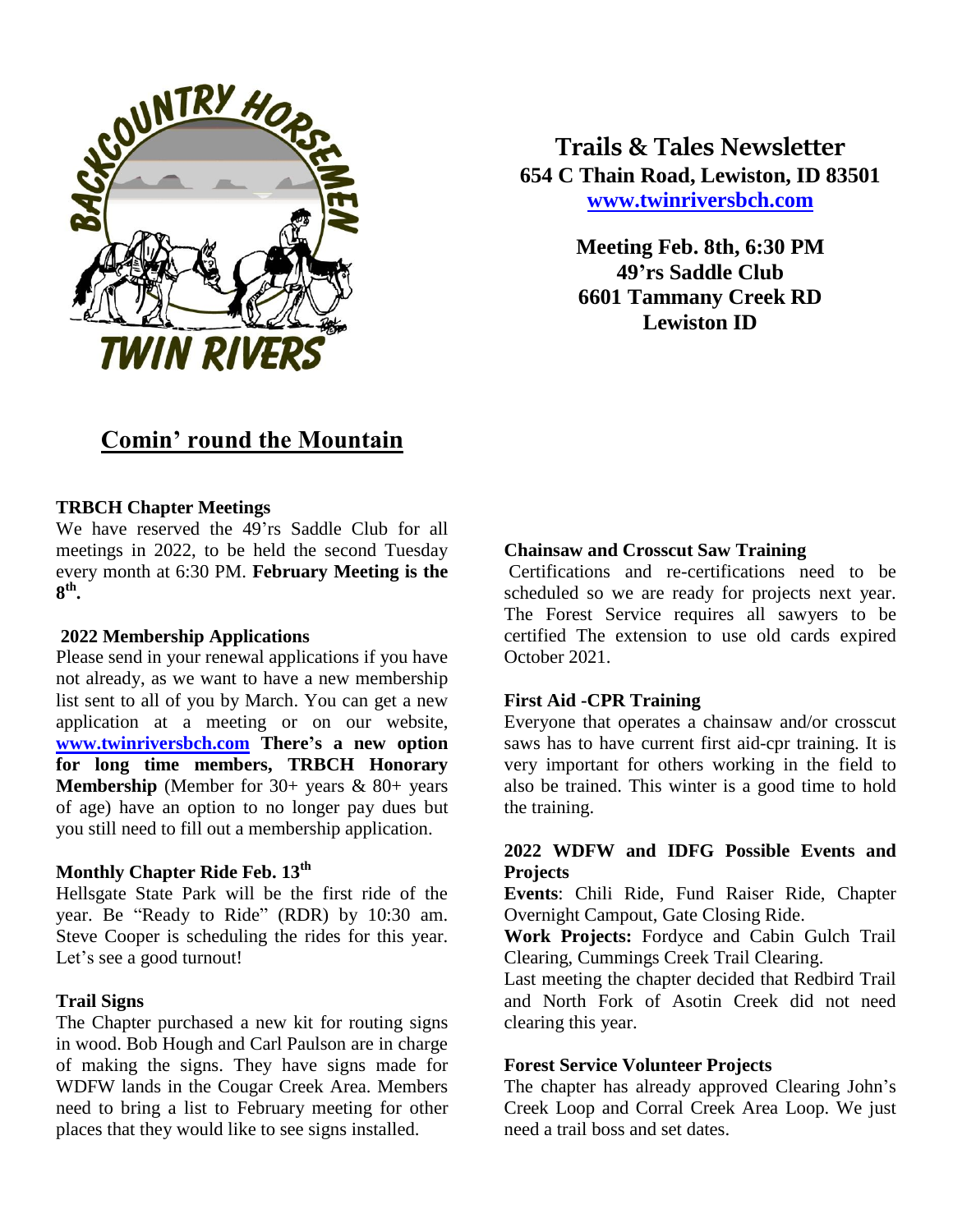

**Trails & Tales Newsletter 654 C Thain Road, Lewiston, ID 83501 [www.twinriversbch.com](http://www.twinriversbch.com/)**

> **Meeting Feb. 8th, 6:30 PM 49'rs Saddle Club 6601 Tammany Creek RD Lewiston ID**

# **Comin' round the Mountain**

## **TRBCH Chapter Meetings**

We have reserved the 49'rs Saddle Club for all meetings in 2022, to be held the second Tuesday every month at 6:30 PM. **February Meeting is the 8 th .**

## **2022 Membership Applications**

Please send in your renewal applications if you have not already, as we want to have a new membership list sent to all of you by March. You can get a new application at a meeting or on our website, **[www.twinriversbch.com](http://www.twinriversbch.com/) There's a new option for long time members, TRBCH Honorary Membership** (Member for 30+ years & 80+ years of age) have an option to no longer pay dues but you still need to fill out a membership application.

## **Monthly Chapter Ride Feb. 13th**

Hellsgate State Park will be the first ride of the year. Be "Ready to Ride" (RDR) by 10:30 am. Steve Cooper is scheduling the rides for this year. Let's see a good turnout!

## **Trail Signs**

The Chapter purchased a new kit for routing signs in wood. Bob Hough and Carl Paulson are in charge of making the signs. They have signs made for WDFW lands in the Cougar Creek Area. Members need to bring a list to February meeting for other places that they would like to see signs installed.

## **Chainsaw and Crosscut Saw Training**

Certifications and re-certifications need to be scheduled so we are ready for projects next year. The Forest Service requires all sawyers to be certified The extension to use old cards expired October 2021.

## **First Aid -CPR Training**

Everyone that operates a chainsaw and/or crosscut saws has to have current first aid-cpr training. It is very important for others working in the field to also be trained. This winter is a good time to hold the training.

## **2022 WDFW and IDFG Possible Events and Projects**

**Events**: Chili Ride, Fund Raiser Ride, Chapter Overnight Campout, Gate Closing Ride.

**Work Projects:** Fordyce and Cabin Gulch Trail Clearing, Cummings Creek Trail Clearing.

Last meeting the chapter decided that Redbird Trail and North Fork of Asotin Creek did not need clearing this year.

## **Forest Service Volunteer Projects**

The chapter has already approved Clearing John's Creek Loop and Corral Creek Area Loop. We just need a trail boss and set dates.